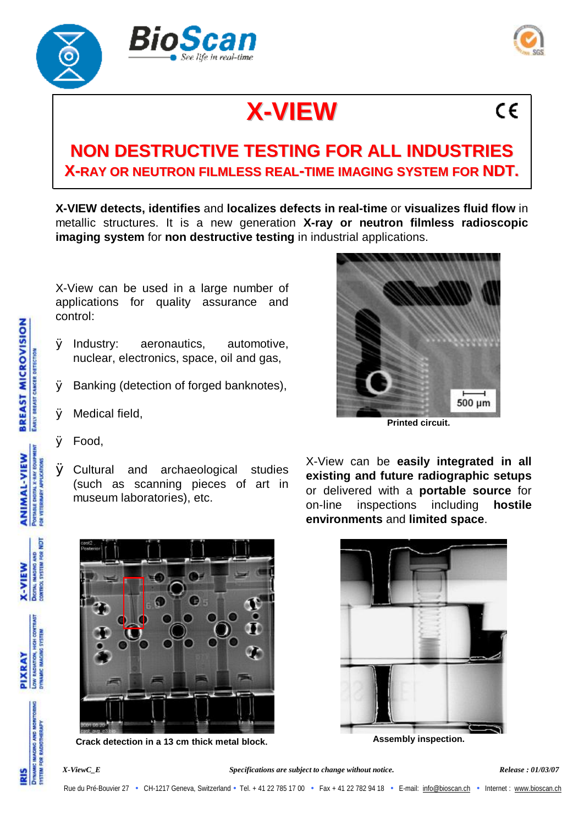



 $\epsilon$ 

## **X-VIEW**

## **NON DESTRUCTIVE TESTING FOR ALL INDUSTRIES X-RAY OR NEUTRON FILMLESS REAL-TIME IMAGING SYSTEM FOR NDT.**

**X-VIEW detects, identifies** and **localizes defects in real-time** or **visualizes fluid flow** in metallic structures. It is a new generation **X-ray or neutron filmless radioscopic imaging system** for **non destructive testing** in industrial applications.

X-View can be used in a large number of applications for quality assurance and control:

- Ø Industry: aeronautics, automotive, nuclear, electronics, space, oil and gas,
- Ø Banking (detection of forged banknotes),
- Ø Medical field,



- Ø Food,
- Ø Cultural and archaeological studies (such as scanning pieces of art in museum laboratories), etc.

X-View can be **easily integrated in all existing and future radiographic setups** or delivered with a **portable source** for on-line inspections including **hostile environments** and **limited space**.



**Crack detection in a 13 cm thick metal block**.



**Assembly inspection.**

**HIGH COMTR IMAGING SYSTEM** 

**JOW RADIATION,** PIXRAY

> **MAGING AND MONITO CELEM FOR RADIOTHERAP**